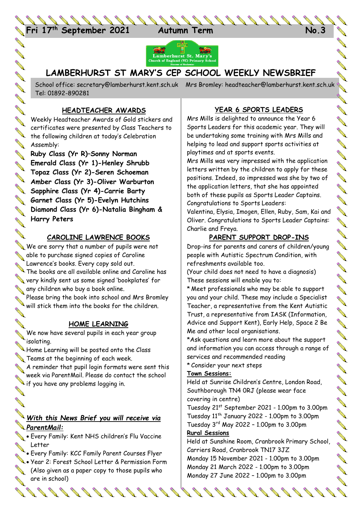

アイリス タイト



### **LAMBERHURST ST MARY'S CEP SCHOOL WEEKLY NEWSBRIEF**

LAMBERHURST ST MARY'S CEP SCHOOL WEENL, INCHVOUNDERHURST Tel: 01892-890281

#### **HEADTEACHER AWARDS**

**CONST** 

**AND AND** 

**ANTI** 

**AVE** 

**ANTI** 

**AVE** 

**AND** 

**ANTI** 

**ANTI** 

Weekly Headteacher Awards of Gold stickers and certificates were presented by Class Teachers to certificates were presented by containing the following children at today's Celebration **Assembly:** 

**Ruby Class (Yr R)–Sonny Norman Emerald Class (Yr 1)-Henley Shrubb Topaz Class (Yr 2)-Seren Schoeman Amber Class (Yr 3)-Oliver Warburton**<br>**Amber Class (Yr 3)-Oliver Warburton Sapphire Class (Yr 4)-Carrie Barty Garnet Class (Yr 5)-Evelyn Hutchins Diamond Class (Yr 6)-Natalia Bingham & Harry Peters**

#### **CAROLINE LAWRENCE BOOKS**

We are sorry that a number of pupils were not able to purchase signed copies of Caroline Lawrence's books. Every copy sold out. The books are all available online and Caroline has very kindly sent us some signed 'bookplates' for any children who buy a book online. Please bring the book into school and Mrs Bromley

Please bring the book into some of the children.

#### **HOME LEARNING**

**Contract of the Contract of the Contract of the Contract of the Contract of the Contract of The Contract of The Contract of The Contract of The Contract of The Contract of The Contract of The Contract of The Contract of T** We now have several pupils in each year group isolating.

ISOIATING.<br>Home Learning will be posted onto the Class Teams at the beginning of each week.

A reminder that pupil login formats were sent this week via ParentMail. Please do contact the school Ween via i al commence.<br>If you have any problems logging in.

## *With this News Brief you will receive via ParentMail:*

- **Every Family: Kent NHS children's Flu Vaccine** Letter
	- Every Family: KCC Family Parent Courses Flyer
- Every Family Research Letter & Permission Form<br>Sear 2: Forest School Letter & Permission Form (Also given as a paper copy to those pupils who **Contract Contract Contract Contract Contract Contract Contract Contract Contract Contract Contract Contract Contract Contract Contract Contract Contract Contract Contract Contract Contract Contract Contract Contract Contr** are in school)

#### **YEAR 6 SPORTS LEADERS**

Mrs Mills is delighted to announce the Year 6 Sports Leaders for this academic year. They will be undertaking some training with Mrs Mills and helping to lead and support sports activities at playtimes and at sports events.

Mrs Mills was very impressed with the application letters written by the children to apply for these positions. Indeed, so impressed was she by two of the application letters, that she has appointed both of these pupils as Sports Leader Captains. Congratulations to Sports Leaders:

Valentina, Elysia, Imogen, Ellen, Ruby, Sam, Kai and Oliver. Congratulations to Sports Leader Captains: Charlie and Freya.

#### **PARENT SUPPORT DROP-INS**

Drop-ins for parents and carers of children/young people with Autistic Spectrum Condition, with refreshments available too.

(Your child does not need to have a diagnosis) These sessions will enable you to:

\* Meet professionals who may be able to support you and your child. These may include a Specialist Teacher, a representative from the Kent Autistic Trust, a representative from IASK (Information, Advice and Support Kent), Early Help, Space 2 Be Me and other local organisations.

\*Ask questions and learn more about the support and information you can access through a range of services and recommended reading

\* Consider your next steps

#### **Town Sessions:**

Held at Sunrise Children's Centre, London Road, Southborough TN4 0RJ (please wear face covering in centre)

Tuesday 21st September 2021 - 1.00pm to 3.00pm Tuesday  $11^{th}$  January 2022 - 1.00pm to 3.00pm Tuesday 3rd May 2022 – 1.00pm to 3.00pm

#### **Rural Sessions**

Held at Sunshine Room, Cranbrook Primary School, Carriers Road, Cranbrook TN17 3JZ Monday 15 November 2021 - 1.00pm to 3.00pm

Monday 21 March 2022 - 1.00pm to 3.00pm Monday 27 June 2022 – 1.00pm to 3.00pm